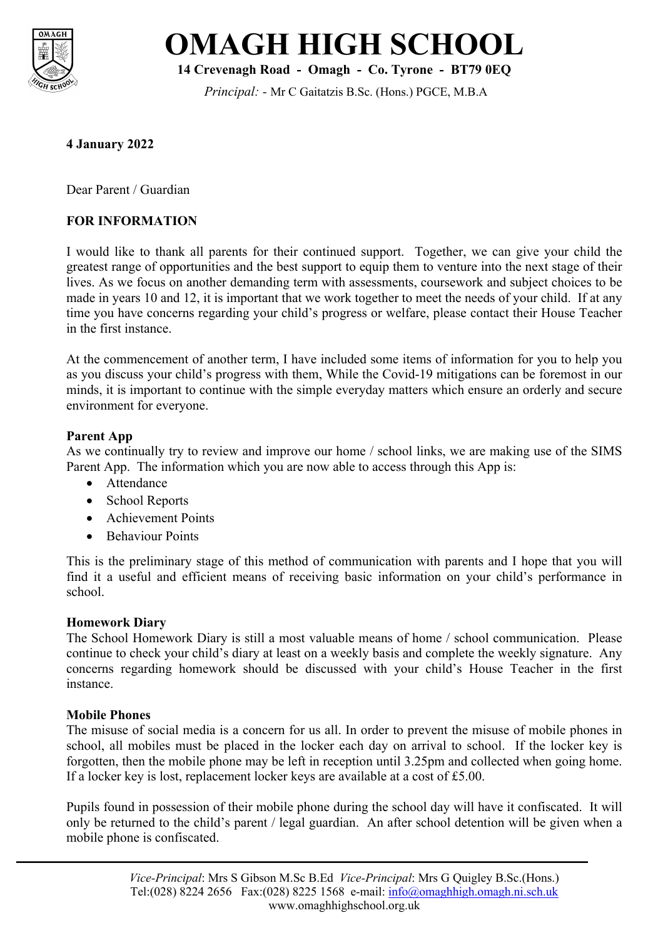



**14 Crevenagh Road - Omagh - Co. Tyrone - BT79 0EQ**

*Principal: -* Mr C Gaitatzis B.Sc. (Hons.) PGCE, M.B.A

## **4 January 2022**

Dear Parent / Guardian

## **FOR INFORMATION**

I would like to thank all parents for their continued support. Together, we can give your child the greatest range of opportunities and the best support to equip them to venture into the next stage of their lives. As we focus on another demanding term with assessments, coursework and subject choices to be made in years 10 and 12, it is important that we work together to meet the needs of your child. If at any time you have concerns regarding your child's progress or welfare, please contact their House Teacher in the first instance.

At the commencement of another term, I have included some items of information for you to help you as you discuss your child's progress with them, While the Covid-19 mitigations can be foremost in our minds, it is important to continue with the simple everyday matters which ensure an orderly and secure environment for everyone.

### **Parent App**

As we continually try to review and improve our home / school links, we are making use of the SIMS Parent App. The information which you are now able to access through this App is:

- Attendance
- School Reports
- Achievement Points
- Behaviour Points

This is the preliminary stage of this method of communication with parents and I hope that you will find it a useful and efficient means of receiving basic information on your child's performance in school.

### **Homework Diary**

The School Homework Diary is still a most valuable means of home / school communication. Please continue to check your child's diary at least on a weekly basis and complete the weekly signature. Any concerns regarding homework should be discussed with your child's House Teacher in the first instance.

## **Mobile Phones**

The misuse of social media is a concern for us all. In order to prevent the misuse of mobile phones in school, all mobiles must be placed in the locker each day on arrival to school. If the locker key is forgotten, then the mobile phone may be left in reception until 3.25pm and collected when going home. If a locker key is lost, replacement locker keys are available at a cost of £5.00.

Pupils found in possession of their mobile phone during the school day will have it confiscated. It will only be returned to the child's parent / legal guardian. An after school detention will be given when a mobile phone is confiscated.